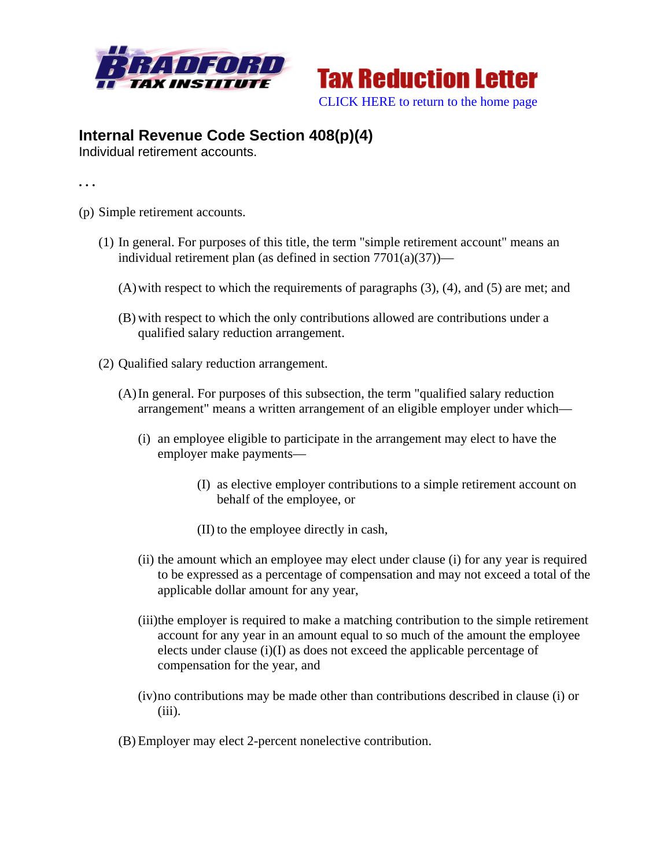



## **Internal Revenue Code Section 408(p)(4)**

Individual retirement accounts.

**. . .** 

- (p) Simple retirement accounts.
	- (1) In general. For purposes of this title, the term "simple retirement account" means an individual retirement plan (as defined in section  $7701(a)(37)$ )—
		- (A)with respect to which the requirements of paragraphs (3), (4), and (5) are met; and
		- (B) with respect to which the only contributions allowed are contributions under a qualified salary reduction arrangement.
	- (2) Qualified salary reduction arrangement.
		- (A)In general. For purposes of this subsection, the term "qualified salary reduction arrangement" means a written arrangement of an eligible employer under which—
			- (i) an employee eligible to participate in the arrangement may elect to have the employer make payments—
				- (I) as elective employer contributions to a simple retirement account on behalf of the employee, or
				- (II) to the employee directly in cash,
			- (ii) the amount which an employee may elect under clause (i) for any year is required to be expressed as a percentage of compensation and may not exceed a total of the applicable dollar amount for any year,
			- (iii)the employer is required to make a matching contribution to the simple retirement account for any year in an amount equal to so much of the amount the employee elects under clause (i)(I) as does not exceed the applicable percentage of compensation for the year, and
			- (iv)no contributions may be made other than contributions described in clause (i) or  $(iii)$ .
		- (B) Employer may elect 2-percent nonelective contribution.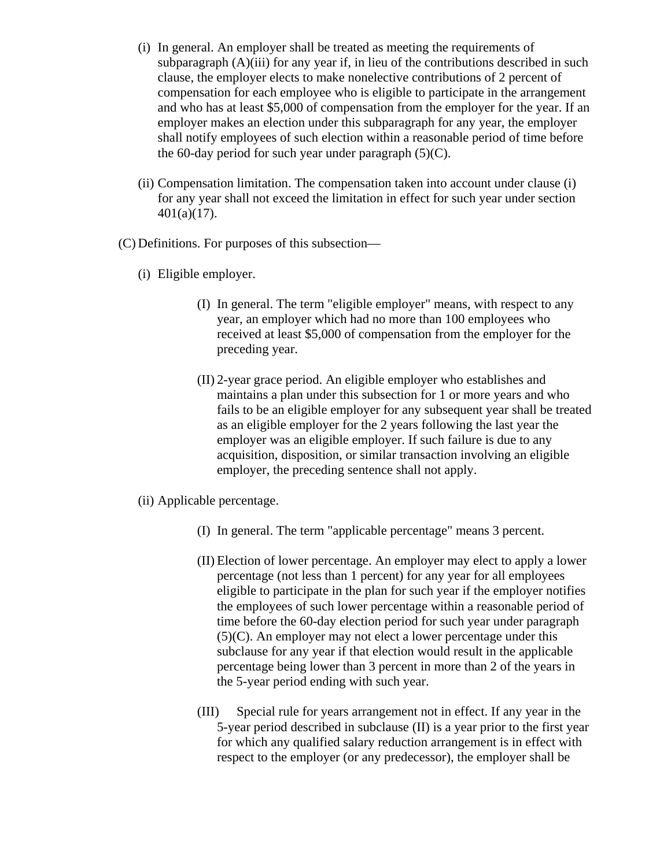- (i) In general. An employer shall be treated as meeting the requirements of subparagraph  $(A)$ (iii) for any year if, in lieu of the contributions described in such clause, the employer elects to make nonelective contributions of 2 percent of compensation for each employee who is eligible to participate in the arrangement and who has at least \$5,000 of compensation from the employer for the year. If an employer makes an election under this subparagraph for any year, the employer shall notify employees of such election within a reasonable period of time before the 60-day period for such year under paragraph  $(5)(C)$ .
- (ii) Compensation limitation. The compensation taken into account under clause (i) for any year shall not exceed the limitation in effect for such year under section 401(a)(17).
- (C) Definitions. For purposes of this subsection—
	- (i) Eligible employer.
		- (I) In general. The term "eligible employer" means, with respect to any year, an employer which had no more than 100 employees who received at least \$5,000 of compensation from the employer for the preceding year.
		- (II) 2-year grace period. An eligible employer who establishes and maintains a plan under this subsection for 1 or more years and who fails to be an eligible employer for any subsequent year shall be treated as an eligible employer for the 2 years following the last year the employer was an eligible employer. If such failure is due to any acquisition, disposition, or similar transaction involving an eligible employer, the preceding sentence shall not apply.
	- (ii) Applicable percentage.
		- (I) In general. The term "applicable percentage" means 3 percent.
		- (II) Election of lower percentage. An employer may elect to apply a lower percentage (not less than 1 percent) for any year for all employees eligible to participate in the plan for such year if the employer notifies the employees of such lower percentage within a reasonable period of time before the 60-day election period for such year under paragraph (5)(C). An employer may not elect a lower percentage under this subclause for any year if that election would result in the applicable percentage being lower than 3 percent in more than 2 of the years in the 5-year period ending with such year.
		- (III) Special rule for years arrangement not in effect. If any year in the 5-year period described in subclause (II) is a year prior to the first year for which any qualified salary reduction arrangement is in effect with respect to the employer (or any predecessor), the employer shall be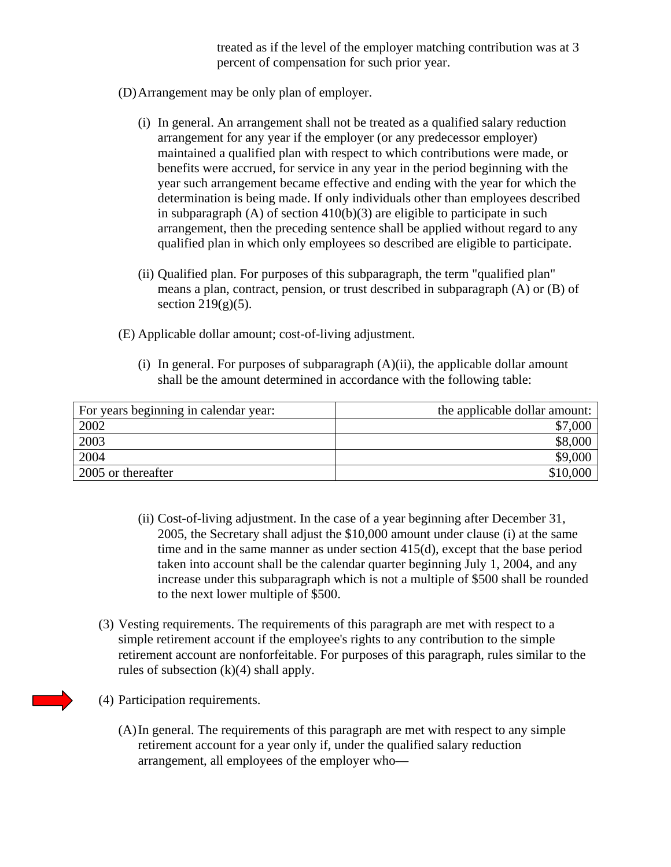treated as if the level of the employer matching contribution was at 3 percent of compensation for such prior year.

- (D)Arrangement may be only plan of employer.
	- (i) In general. An arrangement shall not be treated as a qualified salary reduction arrangement for any year if the employer (or any predecessor employer) maintained a qualified plan with respect to which contributions were made, or benefits were accrued, for service in any year in the period beginning with the year such arrangement became effective and ending with the year for which the determination is being made. If only individuals other than employees described in subparagraph  $(A)$  of section  $410(b)(3)$  are eligible to participate in such arrangement, then the preceding sentence shall be applied without regard to any qualified plan in which only employees so described are eligible to participate.
	- (ii) Qualified plan. For purposes of this subparagraph, the term "qualified plan" means a plan, contract, pension, or trust described in subparagraph (A) or (B) of section  $219(g)(5)$ .
- (E) Applicable dollar amount; cost-of-living adjustment.
	- (i) In general. For purposes of subparagraph  $(A)(ii)$ , the applicable dollar amount shall be the amount determined in accordance with the following table:

| For years beginning in calendar year: | the applicable dollar amount: |
|---------------------------------------|-------------------------------|
| 2002                                  | \$7,000                       |
| 2003                                  |                               |
| 2004                                  | \$9,000                       |
| 2005 or thereafter                    | \$10,000                      |

- (ii) Cost-of-living adjustment. In the case of a year beginning after December 31, 2005, the Secretary shall adjust the \$10,000 amount under clause (i) at the same time and in the same manner as under section 415(d), except that the base period taken into account shall be the calendar quarter beginning July 1, 2004, and any increase under this subparagraph which is not a multiple of \$500 shall be rounded to the next lower multiple of \$500.
- (3) Vesting requirements. The requirements of this paragraph are met with respect to a simple retirement account if the employee's rights to any contribution to the simple retirement account are nonforfeitable. For purposes of this paragraph, rules similar to the rules of subsection  $(k)(4)$  shall apply.
- (4) Participation requirements.
	- (A)In general. The requirements of this paragraph are met with respect to any simple retirement account for a year only if, under the qualified salary reduction arrangement, all employees of the employer who—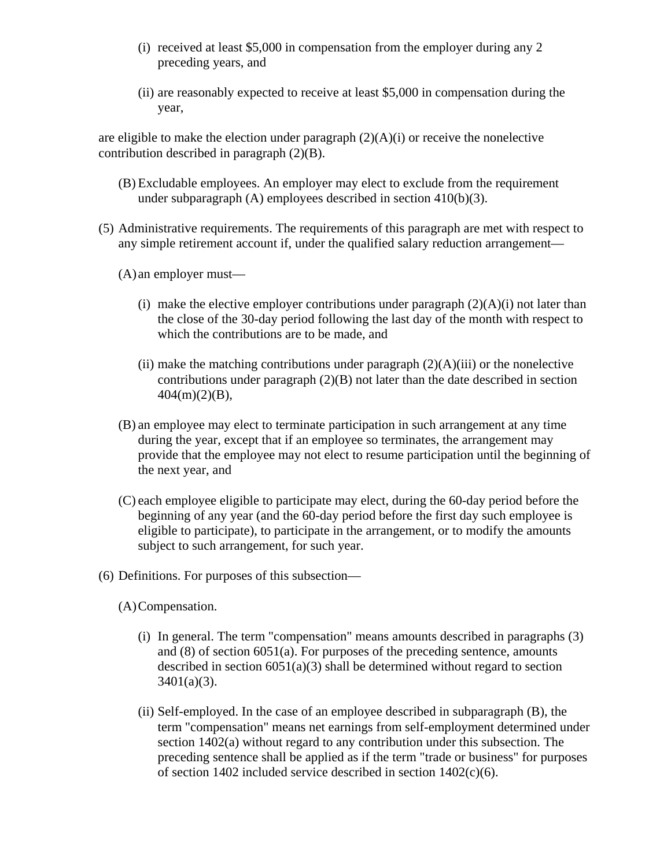- (i) received at least \$5,000 in compensation from the employer during any 2 preceding years, and
- (ii) are reasonably expected to receive at least \$5,000 in compensation during the year,

are eligible to make the election under paragraph  $(2)(A)(i)$  or receive the nonelective contribution described in paragraph (2)(B).

- (B) Excludable employees. An employer may elect to exclude from the requirement under subparagraph (A) employees described in section 410(b)(3).
- (5) Administrative requirements. The requirements of this paragraph are met with respect to any simple retirement account if, under the qualified salary reduction arrangement—
	- (A) an employer must—
		- (i) make the elective employer contributions under paragraph  $(2)(A)(i)$  not later than the close of the 30-day period following the last day of the month with respect to which the contributions are to be made, and
		- (ii) make the matching contributions under paragraph  $(2)(A)(iii)$  or the nonelective contributions under paragraph (2)(B) not later than the date described in section  $404(m)(2)(B)$ ,
	- (B) an employee may elect to terminate participation in such arrangement at any time during the year, except that if an employee so terminates, the arrangement may provide that the employee may not elect to resume participation until the beginning of the next year, and
	- (C) each employee eligible to participate may elect, during the 60-day period before the beginning of any year (and the 60-day period before the first day such employee is eligible to participate), to participate in the arrangement, or to modify the amounts subject to such arrangement, for such year.
- (6) Definitions. For purposes of this subsection—
	- (A)Compensation.
		- (i) In general. The term "compensation" means amounts described in paragraphs (3) and (8) of section 6051(a). For purposes of the preceding sentence, amounts described in section 6051(a)(3) shall be determined without regard to section  $3401(a)(3)$ .
		- (ii) Self-employed. In the case of an employee described in subparagraph (B), the term "compensation" means net earnings from self-employment determined under section 1402(a) without regard to any contribution under this subsection. The preceding sentence shall be applied as if the term "trade or business" for purposes of section 1402 included service described in section 1402(c)(6).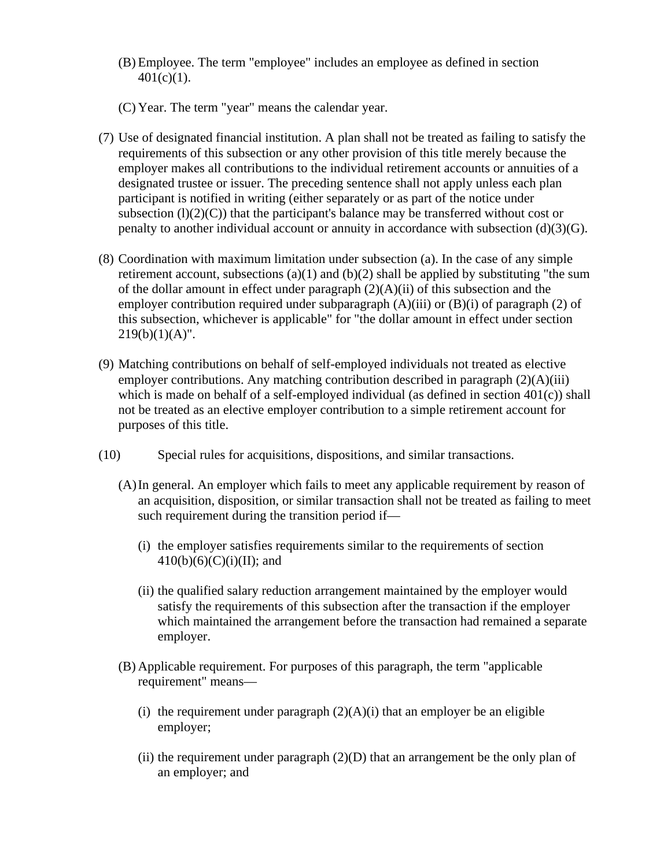- (B) Employee. The term "employee" includes an employee as defined in section  $401(c)(1)$ .
- (C) Year. The term "year" means the calendar year.
- (7) Use of designated financial institution. A plan shall not be treated as failing to satisfy the requirements of this subsection or any other provision of this title merely because the employer makes all contributions to the individual retirement accounts or annuities of a designated trustee or issuer. The preceding sentence shall not apply unless each plan participant is notified in writing (either separately or as part of the notice under subsection  $(l)(2)(C)$  that the participant's balance may be transferred without cost or penalty to another individual account or annuity in accordance with subsection (d)(3)(G).
- (8) Coordination with maximum limitation under subsection (a). In the case of any simple retirement account, subsections (a)(1) and (b)(2) shall be applied by substituting "the sum of the dollar amount in effect under paragraph (2)(A)(ii) of this subsection and the employer contribution required under subparagraph  $(A)(iii)$  or  $(B)(i)$  of paragraph (2) of this subsection, whichever is applicable" for "the dollar amount in effect under section  $219(b)(1)(A)$ ".
- (9) Matching contributions on behalf of self-employed individuals not treated as elective employer contributions. Any matching contribution described in paragraph (2)(A)(iii) which is made on behalf of a self-employed individual (as defined in section  $401(c)$ ) shall not be treated as an elective employer contribution to a simple retirement account for purposes of this title.
- (10) Special rules for acquisitions, dispositions, and similar transactions.
	- (A)In general. An employer which fails to meet any applicable requirement by reason of an acquisition, disposition, or similar transaction shall not be treated as failing to meet such requirement during the transition period if—
		- (i) the employer satisfies requirements similar to the requirements of section  $410(b)(6)(C)(i)(II);$  and
		- (ii) the qualified salary reduction arrangement maintained by the employer would satisfy the requirements of this subsection after the transaction if the employer which maintained the arrangement before the transaction had remained a separate employer.
	- (B) Applicable requirement. For purposes of this paragraph, the term "applicable requirement" means—
		- (i) the requirement under paragraph  $(2)(A)(i)$  that an employer be an eligible employer;
		- (ii) the requirement under paragraph  $(2)(D)$  that an arrangement be the only plan of an employer; and